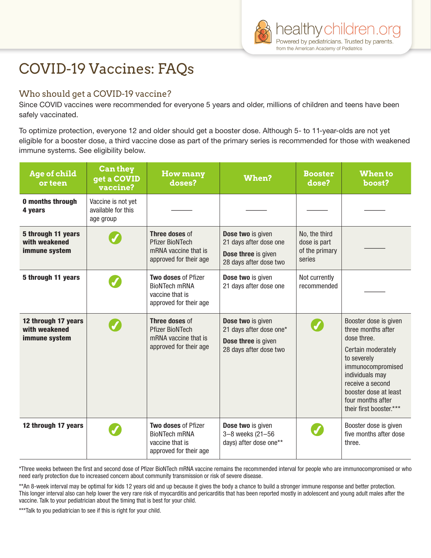# COVID-19 Vaccines: FAQs

## Who should get a COVID-19 vaccine?

Since COVID vaccines were recommended for everyone 5 years and older, millions of children and teens have been safely vaccinated.

To optimize protection, everyone 12 and older should get a booster dose. Although 5- to 11-year-olds are not yet eligible for a booster dose, a third vaccine dose as part of the primary series is recommended for those with weakened immune systems. See eligibility below.

| Age of child<br>or teen                               | Can they<br>get a COVID<br>vaccine?                   | <b>How many</b><br>doses?                                                                       | When?                                                                                         | <b>Booster</b><br>dose?                                   | <b>When to</b><br>boost?                                                                                                                                                                                                             |
|-------------------------------------------------------|-------------------------------------------------------|-------------------------------------------------------------------------------------------------|-----------------------------------------------------------------------------------------------|-----------------------------------------------------------|--------------------------------------------------------------------------------------------------------------------------------------------------------------------------------------------------------------------------------------|
| <b>0 months through</b><br>4 years                    | Vaccine is not yet<br>available for this<br>age group |                                                                                                 |                                                                                               |                                                           |                                                                                                                                                                                                                                      |
| 5 through 11 years<br>with weakened<br>immune system  |                                                       | Three doses of<br><b>Pfizer BioNTech</b><br>mRNA vaccine that is<br>approved for their age      | Dose two is given<br>21 days after dose one<br>Dose three is given<br>28 days after dose two  | No, the third<br>dose is part<br>of the primary<br>series |                                                                                                                                                                                                                                      |
| 5 through 11 years                                    |                                                       | <b>Two doses of Pfizer</b><br><b>BioNTech mRNA</b><br>vaccine that is<br>approved for their age | Dose two is given<br>21 days after dose one                                                   | Not currently<br>recommended                              |                                                                                                                                                                                                                                      |
| 12 through 17 years<br>with weakened<br>immune system |                                                       | Three doses of<br><b>Pfizer BioNTech</b><br>mRNA vaccine that is<br>approved for their age      | Dose two is given<br>21 days after dose one*<br>Dose three is given<br>28 days after dose two |                                                           | Booster dose is given<br>three months after<br>dose three.<br>Certain moderately<br>to severely<br>immunocompromised<br>individuals may<br>receive a second<br>booster dose at least<br>four months after<br>their first booster.*** |
| 12 through 17 years                                   |                                                       | Two doses of Pfizer<br><b>BioNTech mRNA</b><br>vaccine that is<br>approved for their age        | Dose two is given<br>$3 - 8$ weeks $(21 - 56)$<br>days) after dose one**                      |                                                           | Booster dose is given<br>five months after dose<br>three.                                                                                                                                                                            |

\*Three weeks between the first and second dose of Pfizer BioNTech mRNA vaccine remains the recommended interval for people who are immunocompromised or who need early protection due to increased concern about community transmission or risk of severe disease.

\*\*An 8-week interval may be optimal for kids 12 years old and up because it gives the body a chance to build a stronger immune response and better protection. This longer interval also can help lower the very rare risk of myocarditis and pericarditis that has been reported mostly in adolescent and young adult males after the vaccine. Talk to your pediatrician about the timing that is best for your child.

\*\*\*Talk to you pediatrician to see if this is right for your child.